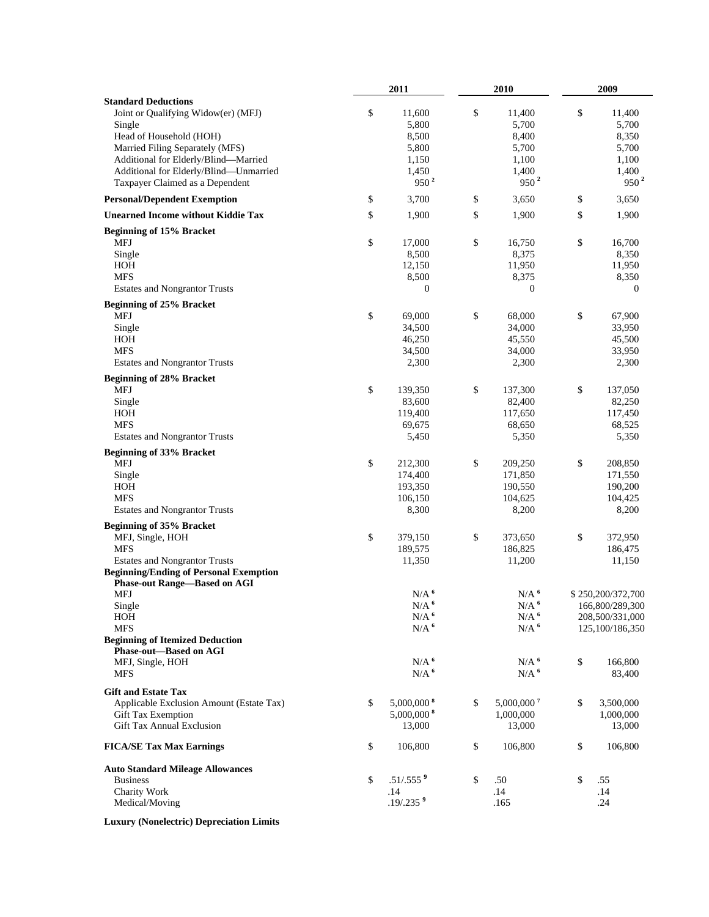|                                                                                      | 2011 |                         | 2010 |                        | 2009 |                        |
|--------------------------------------------------------------------------------------|------|-------------------------|------|------------------------|------|------------------------|
| <b>Standard Deductions</b>                                                           |      |                         |      |                        |      |                        |
| Joint or Qualifying Widow(er) (MFJ)                                                  | \$   | 11,600                  | \$   | 11,400                 | \$   | 11,400                 |
| Single                                                                               |      | 5,800                   |      | 5,700                  |      | 5,700                  |
| Head of Household (HOH)                                                              |      | 8,500                   |      | 8,400                  |      | 8,350                  |
| Married Filing Separately (MFS)                                                      |      | 5,800                   |      | 5,700                  |      | 5,700                  |
| Additional for Elderly/Blind-Married                                                 |      | 1,150                   |      | 1,100                  |      | 1,100                  |
| Additional for Elderly/Blind-Unmarried                                               |      | 1,450                   |      | 1,400                  |      | 1,400                  |
| Taxpayer Claimed as a Dependent                                                      |      | 950 <sup>2</sup>        |      | $950^2$                |      | $950^2$                |
| <b>Personal/Dependent Exemption</b>                                                  | \$   | 3,700                   | \$   | 3,650                  | \$   | 3,650                  |
| <b>Unearned Income without Kiddie Tax</b>                                            | \$   | 1,900                   | \$   | 1,900                  | \$   | 1,900                  |
| <b>Beginning of 15% Bracket</b>                                                      |      |                         |      |                        |      |                        |
| <b>MFJ</b>                                                                           | \$   | 17,000                  | \$   | 16,750                 | \$   | 16,700                 |
| Single                                                                               |      | 8,500                   |      | 8,375                  |      | 8,350                  |
| HOH                                                                                  |      | 12,150                  |      | 11,950                 |      | 11,950                 |
| <b>MFS</b>                                                                           |      | 8,500                   |      | 8,375                  |      | 8,350                  |
| <b>Estates and Nongrantor Trusts</b>                                                 |      | 0                       |      | $\mathbf{0}$           |      | $\mathbf{0}$           |
| <b>Beginning of 25% Bracket</b>                                                      |      |                         |      |                        |      |                        |
| MFJ                                                                                  | \$   | 69,000                  | \$   | 68,000                 | \$   | 67,900                 |
| Single                                                                               |      | 34,500                  |      | 34,000                 |      | 33,950                 |
| HOH                                                                                  |      | 46,250                  |      | 45,550                 |      | 45,500                 |
| <b>MFS</b>                                                                           |      | 34,500                  |      | 34,000                 |      | 33,950                 |
| <b>Estates and Nongrantor Trusts</b>                                                 |      | 2,300                   |      | 2,300                  |      | 2,300                  |
| <b>Beginning of 28% Bracket</b>                                                      |      |                         |      |                        |      |                        |
| <b>MFJ</b>                                                                           | \$   | 139,350                 | \$   | 137,300                | \$   | 137,050                |
| Single                                                                               |      | 83,600                  |      | 82,400                 |      | 82,250                 |
| HOH                                                                                  |      | 119,400                 |      | 117,650                |      | 117,450                |
| <b>MFS</b>                                                                           |      | 69,675                  |      | 68,650                 |      | 68,525                 |
| <b>Estates and Nongrantor Trusts</b>                                                 |      | 5,450                   |      | 5,350                  |      | 5,350                  |
| <b>Beginning of 33% Bracket</b>                                                      |      |                         |      |                        |      |                        |
| <b>MFJ</b>                                                                           | \$   | 212,300                 | \$   | 209,250                | \$   | 208,850                |
| Single                                                                               |      | 174,400                 |      | 171,850                |      | 171,550                |
| HOH                                                                                  |      | 193,350                 |      | 190,550                |      | 190,200                |
| <b>MFS</b>                                                                           |      | 106,150                 |      | 104,625                |      | 104,425                |
| <b>Estates and Nongrantor Trusts</b>                                                 |      | 8,300                   |      | 8,200                  |      | 8,200                  |
|                                                                                      |      |                         |      |                        |      |                        |
| <b>Beginning of 35% Bracket</b>                                                      |      |                         |      |                        |      |                        |
| MFJ, Single, HOH                                                                     | \$   | 379,150                 | \$   | 373,650                | \$   | 372,950                |
| <b>MFS</b>                                                                           |      | 189,575                 |      | 186,825                |      | 186,475                |
| <b>Estates and Nongrantor Trusts</b>                                                 |      | 11,350                  |      | 11,200                 |      | 11,150                 |
| <b>Beginning/Ending of Personal Exemption</b><br><b>Phase-out Range-Based on AGI</b> |      |                         |      |                        |      |                        |
| MFJ                                                                                  |      | $N/A$ $^6$              |      | $N/A$ $^6$             |      | \$250,200/372,700      |
| Single                                                                               |      | $\rm N/A$ $^6$          |      | $N/A$ $^6$             |      | 166,800/289,300        |
| HOH                                                                                  |      | $N/A$ <sup>6</sup>      |      | $N/A^6$                |      | 208,500/331,000        |
| <b>MFS</b>                                                                           |      | $N/A$ <sup>6</sup>      |      | $N/A$ $^6$             |      | 125,100/186,350        |
| <b>Beginning of Itemized Deduction</b>                                               |      |                         |      |                        |      |                        |
| Phase-out-Based on AGI                                                               |      |                         |      |                        |      |                        |
| MFJ, Single, HOH                                                                     |      | N/A <sup>6</sup>        |      | N/A <sup>6</sup>       | \$   | 166,800                |
| <b>MFS</b>                                                                           |      | $N/A$ <sup>6</sup>      |      | $N/A$ $^6$             |      | 83,400                 |
|                                                                                      |      |                         |      |                        |      |                        |
| <b>Gift and Estate Tax</b>                                                           |      | 5,000,000 $8$           | \$   | 5,000,000 <sup>7</sup> |      |                        |
| Applicable Exclusion Amount (Estate Tax)<br>Gift Tax Exemption                       | \$   | 5,000,000 8             |      | 1,000,000              | \$   | 3,500,000<br>1,000,000 |
| Gift Tax Annual Exclusion                                                            |      | 13,000                  |      | 13,000                 |      | 13,000                 |
|                                                                                      |      |                         |      |                        |      |                        |
| <b>FICA/SE Tax Max Earnings</b>                                                      | \$   | 106,800                 | \$   | 106,800                | \$   | 106,800                |
| <b>Auto Standard Mileage Allowances</b>                                              |      |                         |      |                        |      |                        |
| <b>Business</b>                                                                      | \$   | .51/.555 <sup>9</sup>   | \$   | .50                    | \$   | .55                    |
| Charity Work                                                                         |      | .14                     |      | .14                    |      | .14                    |
| Medical/Moving                                                                       |      | $.19/.235$ <sup>9</sup> |      | .165                   |      | .24                    |
|                                                                                      |      |                         |      |                        |      |                        |

**Luxury (Nonelectric) Depreciation Limits**